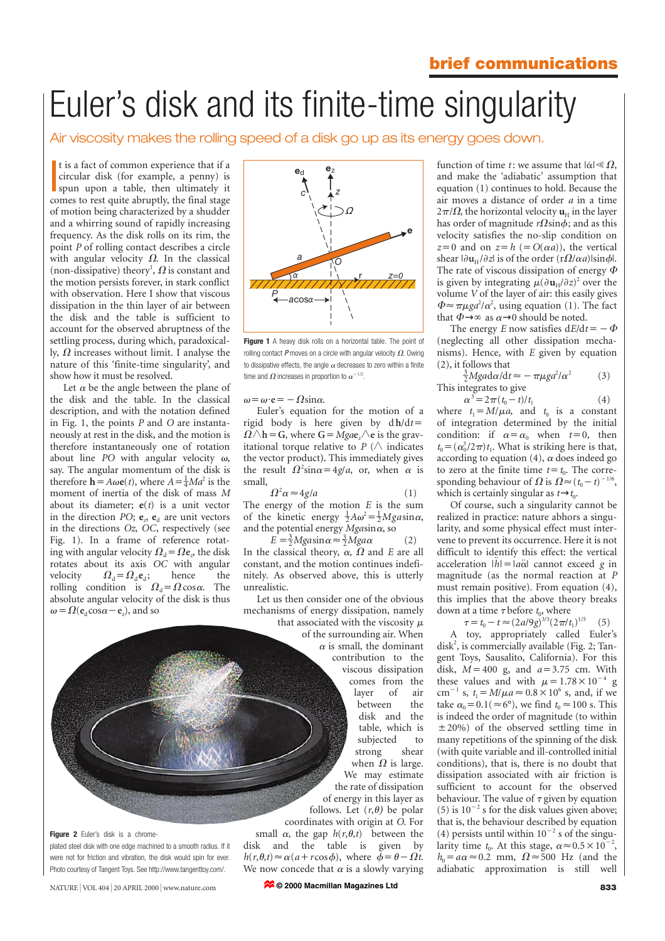# Euler's disk and its finite-time singularity

Air viscosity makes the rolling speed of a disk go up as its energy goes down.

It is a fact of common experience that if a<br>circular disk (for example, a penny) is<br>spun upon a table, then ultimately it<br>to space to rest quite abountly the final strain circular disk (for example, a penny) is spun upon a table, then ultimately it comes to rest quite abruptly, the final stage of motion being characterized by a shudder and a whirring sound of rapidly increasing frequency. As the disk rolls on its rim, the point *P* of rolling contact describes a circle with angular velocity  $\Omega$ . In the classical (non-dissipative) theory<sup>1</sup>,  $\Omega$  is constant and the motion persists forever, in stark conflict with observation. Here I show that viscous dissipation in the thin layer of air between the disk and the table is sufficient to account for the observed abruptness of the settling process, during which, paradoxically,  $\Omega$  increases without limit. I analyse the nature of this 'finite-time singularity', and show how it must be resolved.

Let  $\alpha$  be the angle between the plane of the disk and the table. In the classical description, and with the notation defined in Fig. 1, the points *P* and *O* are instantaneously at rest in the disk, and the motion is therefore instantaneously one of rotation about line *PO* with angular velocity  $\omega$ , say. The angular momentum of the disk is therefore  $\mathbf{h} = A\omega \mathbf{e}(t)$ , where  $A = \frac{1}{4}Ma^2$  is the moment of inertia of the disk of mass *M* about its diameter; **e**(*t*) is a unit vector in the direction *PO*;  $e_a$ ,  $e_d$  are unit vectors in the directions *Oz*, *OC*, respectively (see Fig. 1). In a frame of reference rotating with angular velocity  $\Omega_d = \Omega \mathbf{e}_z$ , the disk rotates about its axis *OC* with angular velocity  $\Omega_d = \Omega_d e_d$ ; hence the rolling condition is  $\Omega_d = \Omega \cos \alpha$ . The absolute angular velocity of the disk is thus  $\omega = \Omega(e_d \cos \alpha - e_z)$ , and so



**Figure 1** A heavy disk rolls on a horizontal table. The point of rolling contact P moves on a circle with angular velocity  $\Omega$ . Owing to dissipative effects, the angle  $\alpha$  decreases to zero within a finite time and  $\Omega$  increases in proportion to  $\alpha^{-1/2}$ .

 $\omega = \omega \cdot e = -\Omega \sin \alpha$ .

Euler's equation for the motion of a rigid body is here given by  $dh/dt=$  $\Omega \wedge h = G$ , where  $G = Mgae$ ,  $\wedge e$  is the gravitational torque relative to  $P$  ( $\wedge$  indicates the vector product**).** This immediately gives the result  $\Omega^2 \sin \alpha = 4g/a$ , or, when  $\alpha$  is small,

 $\Omega^2 \alpha \approx 4g/a$  (1)

The energy of the motion *E* is the sum of the kinetic energy  $\frac{1}{2}A\omega^2 = \frac{1}{2}Mga\sin\alpha$ , and the potential energy  $M$ gasin $\alpha$ , so

 $E = \frac{3}{2}Mgasin \alpha \approx \frac{3}{2}Mg a \alpha$  (2) In the classical theory,  $\alpha$ ,  $\Omega$  and *E* are all constant, and the motion continues indefinitely. As observed above, this is utterly unrealistic.

Let us then consider one of the obvious mechanisms of energy dissipation, namely that associated with the viscosity  $\mu$ of the surrounding air. When  $\alpha$  is small, the dominant contribution to the viscous dissipation comes from the<br>layer of air layer of air between the disk and the table, which is subjected to strong shear when  $\Omega$  is large. We may estimate the rate of dissipation of energy in this layer as follows. Let  $(r, \theta)$  be polar coordinates with origin at *O*. For small  $\alpha$ , the gap  $h(r, \theta, t)$  between the disk and the table is given by  $h(r, \theta, t) \approx \alpha(a + r \cos \phi)$ , where  $\dot{\phi} = \theta - \Omega t$ .

Figure 2 Euler's disk is a chromeplated steel disk with one edge machined to a smooth radius. If it were not for friction and vibration, the disk would spin for ever. Photo courtesy of Tangent Toys. See http://www.tangenttoy.com/.

NATURE | VOL 404 | 20 APRIL 2000 | www.nature.com **833 833** 

function of time *t* : we assume that  $|\dot{\alpha}| \ll \Omega$ , and make the 'adiabatic' assumption that equation (1) continues to hold. Because the air moves a distance of order *a* in a time  $2\pi/\Omega$ , the horizontal velocity  $\mathbf{u}_{\text{H}}$  in the layer has order of magnitude  $r\Omega\sin\phi$ ; and as this velocity satisfies the no-slip condition on  $z=0$  and on  $z=h$  ( $=O(\alpha a)$ ), the vertical shear  $|\partial \mathbf{u}_{\text{H}} / \partial z|$  is of the order  $(r\Omega/\alpha a)|\sin \phi|$ . The rate of viscous dissipation of energy  $\Phi$ is given by integrating  $\mu(\partial \mathbf{u}_{\mathrm{H}}/\partial z)^2$  over the volume *V* of the layer of air: this easily gives  $\Phi \approx \pi \mu g a^2/\alpha^2$ , using equation (1). The fact that  $\Phi \rightarrow \infty$  as  $\alpha \rightarrow 0$  should be noted.

The energy *E* now satisfies  $dE/dt = -\Phi$ (neglecting all other dissipation mechanisms). Hence, with *E* given by equation  $(2)$ , it follows that

$$
\frac{3}{2}M \text{grad} \alpha / d t \approx -\pi \mu \text{g} a^2 / \alpha^2 \tag{3}
$$
  
This integrates to give

 $\alpha^3 = 2\pi (t_0 - t)/t_1$  (4)

where  $t_1 = M/\mu a$ , and  $t_0$  is a constant of integration determined by the initial condition: if  $\alpha = \alpha_0$  when  $t=0$ , then  $t_0 = (\alpha_0^3/2\pi)t_1$ . What is striking here is that, according to equation (4),  $\alpha$  does indeed go to zero at the finite time  $t = t_0$ . The corresponding behaviour of  $\Omega$  is  $\Omega \approx (t_0-t)^{-1/6}$ , which is certainly singular as  $t \rightarrow t_0$ .

Of course, such a singularity cannot be realized in practice: nature abhors a singularity, and some physical effect must intervene to prevent its occurrence. Here it is not difficult to identify this effect: the vertical acceleration  $|\ddot{h}| = |\dot{a}\ddot{\alpha}|$  cannot exceed *g* in magnitude (as the normal reaction at *P* must remain positive). From equation (4), this implies that the above theory breaks down at a time  $\tau$  before  $t_0$ , where

 $\tau = t_0 - t \approx (2a/9g)^{3/5}(2\pi/t_1)^{1/5}$  (5)

A toy, appropriately called Euler's disk<sup>2</sup>, is commercially available (Fig. 2; Tangent Toys, Sausalito, California). For this disk,  $M = 400$  g, and  $a = 3.75$  cm. With these values and with  $\mu = 1.78 \times 10^{-4}$  g cm<sup>-1</sup> s,  $t_1 = M/\mu a \approx 0.8 \times 10^6$  s, and, if we take  $\alpha_0 = 0.1 (\approx 6^{\circ})$ , we find  $t_0 \approx 100$  s. This is indeed the order of magnitude (to within  $\pm 20\%$ ) of the observed settling time in many repetitions of the spinning of the disk (with quite variable and ill-controlled initial conditions), that is, there is no doubt that dissipation associated with air friction is sufficient to account for the observed behaviour. The value of  $\tau$  given by equation (5) is  $10^{-2}$  s for the disk values given above; that is, the behaviour described by equation (4) persists until within  $10^{-2}$  s of the singularity time  $t_0$ . At this stage,  $\alpha \approx 0.5 \times 10^{-2}$ ,  $h_0 = a\alpha \approx 0.2$  mm,  $\Omega \approx 500$  Hz (and the adiabatic approximation is still well